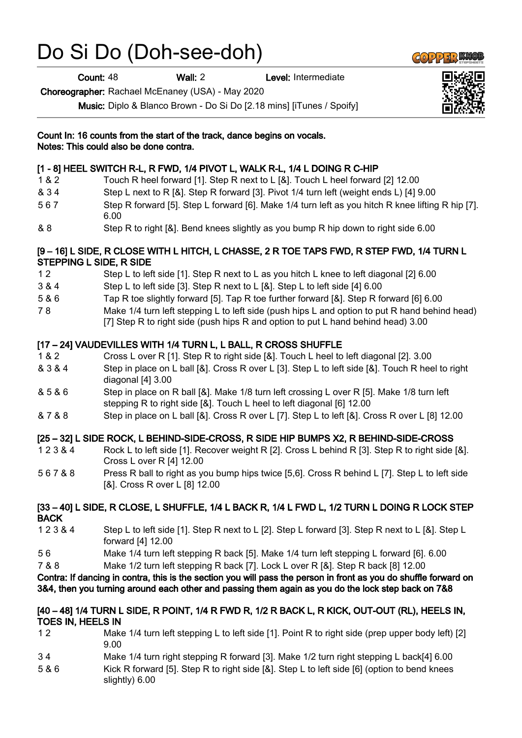# Do Si Do (Doh-see-doh)

Count: 48 Wall: 2 Level: Intermediate

Choreographer: Rachael McEnaney (USA) - May 2020

Music: Diplo & Blanco Brown - Do Si Do [2.18 mins] [iTunes / Spoify]



# [1 - 8] HEEL SWITCH R-L, R FWD, 1/4 PIVOT L, WALK R-L, 1/4 L DOING R C-HIP

- 1 & 2 Touch R heel forward [1]. Step R next to L [&]. Touch L heel forward [2] 12.00
- & 3 4 Step L next to R [&]. Step R forward [3]. Pivot 1/4 turn left (weight ends L) [4] 9.00
- 5 6 7 Step R forward [5]. Step L forward [6]. Make 1/4 turn left as you hitch R knee lifting R hip [7]. 6.00
- & 8 Step R to right [&]. Bend knees slightly as you bump R hip down to right side 6.00

# [9 – 16] L SIDE, R CLOSE WITH L HITCH, L CHASSE, 2 R TOE TAPS FWD, R STEP FWD, 1/4 TURN L STEPPING L SIDE, R SIDE

- 1 2 Step L to left side [1]. Step R next to L as you hitch L knee to left diagonal [2] 6.00
- 3 & 4 Step L to left side [3]. Step R next to L [&]. Step L to left side [4] 6.00
- 5 & 6 Tap R toe slightly forward [5]. Tap R toe further forward [&]. Step R forward [6] 6.00
- 7 8 Make 1/4 turn left stepping L to left side (push hips L and option to put R hand behind head) [7] Step R to right side (push hips R and option to put L hand behind head) 3.00

# [17 – 24] VAUDEVILLES WITH 1/4 TURN L, L BALL, R CROSS SHUFFLE

- 1 & 2 Cross L over R [1]. Step R to right side [&]. Touch L heel to left diagonal [2]. 3.00
- & 3 & 4 Step in place on L ball [&]. Cross R over L [3]. Step L to left side [&]. Touch R heel to right diagonal [4] 3.00
- & 5 & 6 Step in place on R ball [&]. Make 1/8 turn left crossing L over R [5]. Make 1/8 turn left stepping R to right side [&]. Touch L heel to left diagonal [6] 12.00
- & 7 & 8 Step in place on L ball [&]. Cross R over L [7]. Step L to left [&]. Cross R over L [8] 12.00

# [25 – 32] L SIDE ROCK, L BEHIND-SIDE-CROSS, R SIDE HIP BUMPS X2, R BEHIND-SIDE-CROSS

- 1 2 3 & 4 Rock L to left side [1]. Recover weight R [2]. Cross L behind R [3]. Step R to right side [&]. Cross L over R [4] 12.00
- 5 6 7 & 8 Press R ball to right as you bump hips twice [5,6]. Cross R behind L [7]. Step L to left side [&]. Cross R over L [8] 12.00

## [33 – 40] L SIDE, R CLOSE, L SHUFFLE, 1/4 L BACK R, 1/4 L FWD L, 1/2 TURN L DOING R LOCK STEP **BACK**

- 1 2 3 & 4 Step L to left side [1]. Step R next to L [2]. Step L forward [3]. Step R next to L [&]. Step L forward [4] 12.00
- 5 6 Make 1/4 turn left stepping R back [5]. Make 1/4 turn left stepping L forward [6]. 6.00

7 & 8 Make 1/2 turn left stepping R back [7]. Lock L over R [&]. Step R back [8] 12.00

## Contra: If dancing in contra, this is the section you will pass the person in front as you do shuffle forward on 3&4, then you turning around each other and passing them again as you do the lock step back on 7&8

## [40 – 48] 1/4 TURN L SIDE, R POINT, 1/4 R FWD R, 1/2 R BACK L, R KICK, OUT-OUT (RL), HEELS IN, TOES IN, HEELS IN

- 1 2 Make 1/4 turn left stepping L to left side [1]. Point R to right side (prep upper body left) [2] 9.00
- 3 4 Make 1/4 turn right stepping R forward [3]. Make 1/2 turn right stepping L back[4] 6.00
- 5 & 6 Kick R forward [5]. Step R to right side [&]. Step L to left side [6] (option to bend knees slightly) 6.00